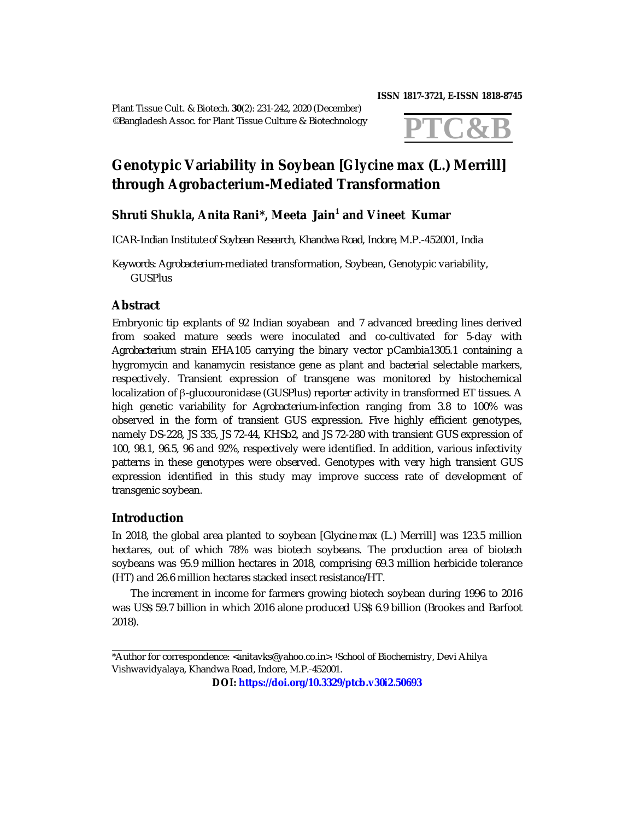Plant Tissue Cult. & Biotech. **30**(2): 231-242, 2020 (December) ©Bangladesh Assoc. for Plant Tissue Culture & Biotechnology

#### **ISSN 1817-3721, E-ISSN 1818-8745**



# **Genotypic Variability in Soybean [***Glycine max* **(L.) Merrill] through** *Agrobacterium***-Mediated Transformation**

# **Shruti Shukla, Anita Rani\*, Meeta Jain<sup>1</sup> and Vineet Kumar**

*ICAR-Indian Institute of Soybean Research, Khandwa Road, Indore, M.P.-452001, India*

*Keywords: Agrobacterium-*mediated transformation, Soybean, Genotypic variability, **GUSPlus** 

## **Abstract**

Embryonic tip explants of 92 Indian soyabean and 7 advanced breeding lines derived from soaked mature seeds were inoculated and co-cultivated for 5-day with *Agrobacterium* strain EHA105 carrying the binary vector pCambia1305.1 containing a hygromycin and kanamycin resistance gene as plant and bacterial selectable markers, respectively. Transient expression of transgene was monitored by histochemical localization of β-glucouronidase (GUSPlus) reporter activity in transformed ET tissues. A high genetic variability for *Agrobacterium*-infection ranging from 3.8 to 100% was observed in the form of transient GUS expression. Five highly efficient genotypes, namely DS-228, JS 335, JS 72-44, KHSb2, and JS 72-280 with transient GUS expression of 100, 98.1, 96.5, 96 and 92%, respectively were identified. In addition, various infectivity patterns in these genotypes were observed. Genotypes with very high transient GUS expression identified in this study may improve success rate of development of transgenic soybean.

## **Introduction**

In 2018, the global area planted to soybean [*Glycine max* (L.) Merrill] was 123.5 million hectares, out of which 78% was biotech soybeans. The production area of biotech soybeans was 95.9 million hectares in 2018, comprising 69.3 million herbicide tolerance (HT) and 26.6 million hectares stacked insect resistance/HT.

The increment in income for farmers growing biotech soybean during 1996 to 2016 was US\$ 59.7 billion in which 2016 alone produced US\$ 6.9 billion (Brookes and Barfoot 2018).

<sup>\*</sup>Author for correspondence: <[anitavks@yahoo.co.in](mailto:anitavks@yahoo.co.in)>. 1School of Biochemistry, Devi Ahilya Vishwavidyalaya, Khandwa Road, Indore, M.P.-452001.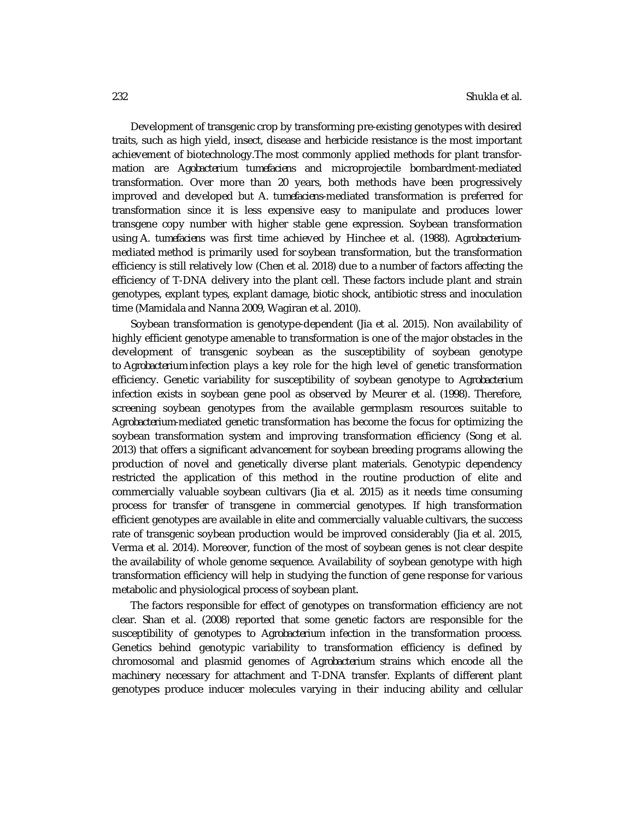Development of transgenic crop by transforming pre-existing genotypes with desired traits, such as high yield, insect, disease and herbicide resistance is the most important achievement of biotechnology.The most commonly applied methods for plant transformation are *Agobacterium tumefaciens* and microprojectile bombardment-mediated transformation. Over more than 20 years, both methods have been progressively improved and developed but *A. tumefaciens*-mediated transformation is preferred for transformation since it is less expensive easy to manipulate and produces lower transgene copy number with higher stable gene expression. Soybean transformation using *A. tumefaciens* was first time achieved by Hinchee et al. (1988). *Agrobacterium*mediated method is primarily used for soybean transformation, but the transformation efficiency is still relatively low (Chen et al. 2018) due to a number of factors affecting the efficiency of T-DNA delivery into the plant cell. These factors include plant and strain genotypes, explant types, explant damage, biotic shock, antibiotic stress and inoculation time (Mamidala and Nanna 2009, Wagiran et al. 2010).

Soybean transformation is genotype-dependent (Jia et al. 2015). Non availability of highly efficient genotype amenable to transformation is one of the major obstacles in the development of transgenic soybean as the susceptibility of soybean genotype to *Agrobacterium* infection plays a key role for the high level of genetic transformation efficiency. Genetic variability for susceptibility of soybean genotype to *Agrobacterium* infection exists in soybean gene pool as observed by Meurer et al. (1998). Therefore, screening soybean genotypes from the available germplasm resources suitable to *Agrobacterium*-mediated genetic transformation has become the focus for optimizing the soybean transformation system and improving transformation efficiency (Song et al. 2013) that offers a significant advancement for soybean breeding programs allowing the production of novel and genetically diverse plant materials. Genotypic dependency restricted the application of this method in the routine production of elite and commercially valuable soybean cultivars (Jia et al. 2015) as it needs time consuming process for transfer of transgene in commercial genotypes. If high transformation efficient genotypes are available in elite and commercially valuable cultivars, the success rate of transgenic soybean production would be improved considerably (Jia et al. 2015, Verma et al. 2014). Moreover, function of the most of soybean genes is not clear despite the availability of whole genome sequence. Availability of soybean genotype with high transformation efficiency will help in studying the function of gene response for various metabolic and physiological process of soybean plant.

The factors responsible for effect of genotypes on transformation efficiency are not clear. Shan et al. (2008) reported that some genetic factors are responsible for the susceptibility of genotypes to *Agrobacterium* infection in the transformation process. Genetics behind genotypic variability to transformation efficiency is defined by chromosomal and plasmid genomes of *Agrobacterium* strains which encode all the machinery necessary for attachment and T-DNA transfer. Explants of different plant genotypes produce inducer molecules varying in their inducing ability and cellular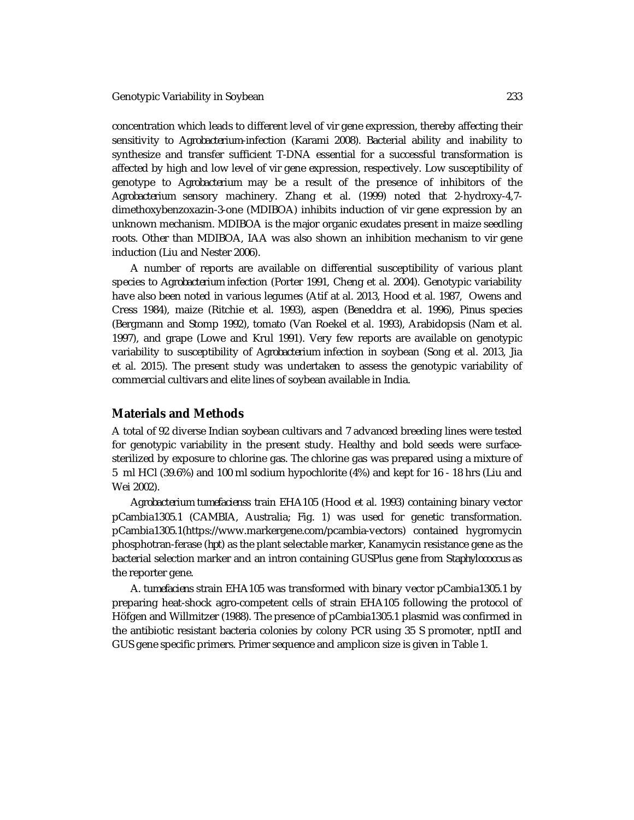concentration which leads to different level of *vir* gene expression, thereby affecting their sensitivity to *Agrobacterium*-infection (Karami 2008). Bacterial ability and inability to synthesize and transfer sufficient T-DNA essential for a successful transformation is affected by high and low level of *vir* gene expression, respectively. Low susceptibility of genotype to *Agrobacterium* may be a result of the presence of inhibitors of the *Agrobacterium* sensory machinery. Zhang et al. (1999) noted that 2-hydroxy-4,7 dimethoxybenzoxazin-3-one (MDIBOA) inhibits induction of *vir* gene expression by an unknown mechanism. MDIBOA is the major organic exudates present in maize seedling roots. Other than MDIBOA, IAA was also shown an inhibition mechanism to *vir* gene induction (Liu and Nester 2006).

A number of reports are available on differential susceptibility of various plant species to *Agrobacterium* infection (Porter 1991, Cheng et al. 2004). Genotypic variability have also been noted in various legumes (Atif at al. 2013, Hood et al. 1987, Owens and Cress 1984), maize (Ritchie et al. 1993), aspen (Beneddra et al. 1996), *Pinus* species (Bergmann and Stomp 1992), tomato (Van Roekel et al. 1993), Arabidopsis (Nam et al. 1997), and grape (Lowe and Krul 1991). Very few reports are available on genotypic variability to susceptibility of *Agrobacterium* infection in soybean (Song et al. 2013, Jia et al. 2015). The present study was undertaken to assess the genotypic variability of commercial cultivars and elite lines of soybean available in India.

#### **Materials and Methods**

A total of 92 diverse Indian soybean cultivars and 7 advanced breeding lines were tested for genotypic variability in the present study. Healthy and bold seeds were surfacesterilized by exposure to chlorine gas. The chlorine gas was prepared using a mixture of 5 ml HCl (39.6%) and 100 ml sodium hypochlorite (4%) and kept for 16 - 18 hrs (Liu and Wei 2002).

*Agrobacterium tumefaciens*s train EHA105 (Hood et al. 1993) containing binary vector pCambia1305.1 (CAMBIA, Australia; Fig. 1) was used for genetic transformation. pCambia1305.1[\(https://www.markergene.com/pcambia-vectors\)](https://www.markergene.com/pcambia-vectors)) contained hygromycin phosphotran-ferase (*hpt*) as the plant selectable marker, Kanamycin resistance gene as the bacterial selection marker and an intron containing GUSPlus gene from *Staphylococcus* as the reporter gene.

*A. tumefaciens* strain EHA105 was transformed with binary vector pCambia1305.1 by preparing heat-shock agro-competent cells of strain EHA105 following the protocol of Höfgen and Willmitzer (1988). The presence of pCambia1305.1 plasmid was confirmed in the antibiotic resistant bacteria colonies by colony PCR using 35 S promoter, nptII and GUS gene specific primers. Primer sequence and amplicon size is given in Table 1.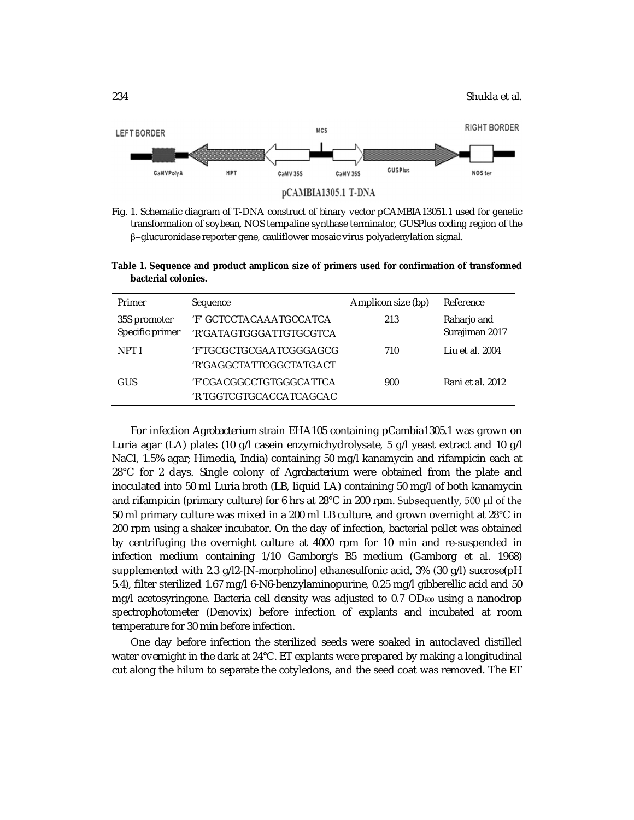

Fig. 1. Schematic diagram of T-DNA construct of binary vector pCAMBIA13051.1 used for genetic transformation of soybean, NOS ternpaline synthase terminator, GUSPlus coding region of the  $\beta$ -glucuronidase reporter gene, cauliflower mosaic virus polyadenylation signal.

| Primer                          | Sequence                                           | Amplicon size (bp) | Reference                     |
|---------------------------------|----------------------------------------------------|--------------------|-------------------------------|
| 35S promoter<br>Specific primer | 'F' GCTCCTACAAATGCCATCA<br>'R'GATAGTGGGATTGTGCGTCA | 213                | Raharjo and<br>Surajiman 2017 |
| NPT I                           | 'F'TGCGCTGCGAATCGGGAGCG<br>'R'GAGGCTATTCGGCTATGACT | 710                | Liu et al. 2004               |
| GUS                             | 'F'CGACGGCCTGTGGGCATTCA<br>'R TGGTCGTGCACCATCAGCAC | 900                | Rani et al. 2012              |

**Table 1. Sequence and product amplicon size of primers used for confirmation of transformed bacterial colonies.**

For infection *Agrobacterium* strain EHA105 containing pCambia1305.1 was grown on Luria agar (LA) plates (10 g/l casein enzymichydrolysate, 5 g/l yeast extract and 10 g/l NaCl, 1.5% agar; Himedia, India) containing 50 mg/l kanamycin and rifampicin each at 28°C for 2 days. Single colony of *Agrobacterium* were obtained from the plate and inoculated into 50 ml Luria broth (LB, liquid LA) containing 50 mg/l of both kanamycin and rifampicin (primary culture) for 6 hrs at 28°C in 200 rpm. Subsequently, 500 μl of the 50 ml primary culture was mixed in a 200 ml LB culture, and grown overnight at 28°C in 200 rpm using a shaker incubator. On the day of infection, bacterial pellet was obtained by centrifuging the overnight culture at 4000 rpm for 10 min and re-suspended in infection medium containing 1/10 Gamborg's B5 medium (Gamborg et al. 1968) supplemented with 2.3 g/l2-[N-morpholino] ethanesulfonic acid, 3% (30 g/l) sucrose(pH 5.4), filter sterilized 1.67 mg/l 6-N6-benzylaminopurine, 0.25 mg/l gibberellic acid and 50 mg/l acetosyringone. Bacteria cell density was adjusted to  $0.7$  OD $_{600}$  using a nanodrop spectrophotometer (Denovix) before infection of explants and incubated at room temperature for 30 min before infection.

One day before infection the sterilized seeds were soaked in autoclaved distilled water overnight in the dark at 24°C. ET explants were prepared by making a longitudinal cut along the hilum to separate the cotyledons, and the seed coat was removed. The ET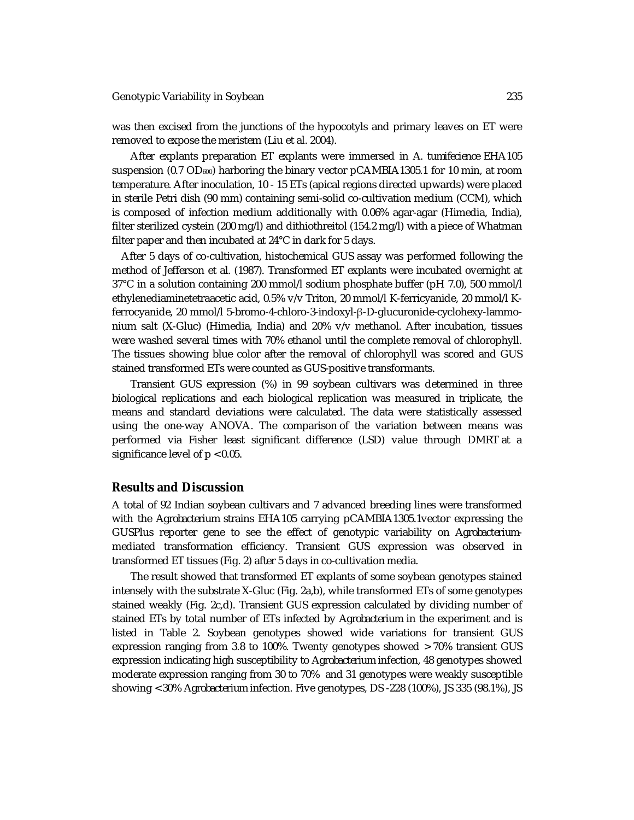was then excised from the junctions of the hypocotyls and primary leaves on ET were removed to expose the meristem (Liu et al. 2004).

After explants preparation ET explants were immersed in *A. tumifecience* EHA105 suspension (0.7 OD600) harboring the binary vector pCAMBIA1305.1 for 10 min, at room temperature. After inoculation, 10 - 15 ETs (apical regions directed upwards) were placed in sterile Petri dish (90 mm) containing semi-solid co-cultivation medium (CCM), which is composed of infection medium additionally with 0.06% agar-agar (Himedia, India), filter sterilized cystein (200 mg/l) and dithiothreitol (154.2 mg/l) with a piece of Whatman filter paper and then incubated at 24°C in dark for 5 days.

After 5 days of co-cultivation, histochemical GUS assay was performed following the method of Jefferson et al. (1987). Transformed ET explants were incubated overnight at 37°C in a solution containing 200 mmol/l sodium phosphate buffer (pH 7.0), 500 mmol/l ethylenediaminetetraacetic acid, 0.5% v/v Triton, 20 mmol/l K-ferricyanide, 20 mmol/l Kferrocyanide, 20 mmol/l 5-bromo-4-chloro-3-indoxyl-β-D-glucuronide-cyclohexy-lammonium salt (X-Gluc) (Himedia, India) and 20% v/v methanol. After incubation, tissues were washed several times with 70% ethanol until the complete removal of chlorophyll. The tissues showing blue color after the removal of chlorophyll was scored and GUS stained transformed ETs were counted as GUS-positive transformants.

Transient GUS expression (%) in 99 soybean cultivars was determined in three biological replications and each biological replication was measured in triplicate, the means and standard deviations were calculated. The data were statistically assessed using the one-way ANOVA. The comparison of the variation between means was performed via Fisher least significant difference (LSD) value through DMRT at a significance level of  $p < 0.05$ .

#### **Results and Discussion**

A total of 92 Indian soybean cultivars and 7 advanced breeding lines were transformed with the *Agrobacterium* strains EHA105 carrying pCAMBIA1305.1vector expressing the GUSPlus reporter gene to see the effect of genotypic variability on *Agrobacterium*mediated transformation efficiency. Transient GUS expression was observed in transformed ET tissues (Fig. 2) after 5 days in co-cultivation media.

The result showed that transformed ET explants of some soybean genotypes stained intensely with the substrate X-Gluc (Fig. 2a,b), while transformed ETs of some genotypes stained weakly (Fig. 2c,d). Transient GUS expression calculated by dividing number of stained ETs by total number of ETs infected by *Agrobacterium* in the experiment and is listed in Table 2. Soybean genotypes showed wide variations for transient GUS expression ranging from 3.8 to 100%. Twenty genotypes showed > 70% transient GUS expression indicating high susceptibility to *Agrobacterium* infection, 48 genotypes showed moderate expression ranging from 30 to 70% and 31 genotypes were weakly susceptible showing < 30% *Agrobacterium* infection. Five genotypes, DS -228 (100%), JS 335 (98.1%), JS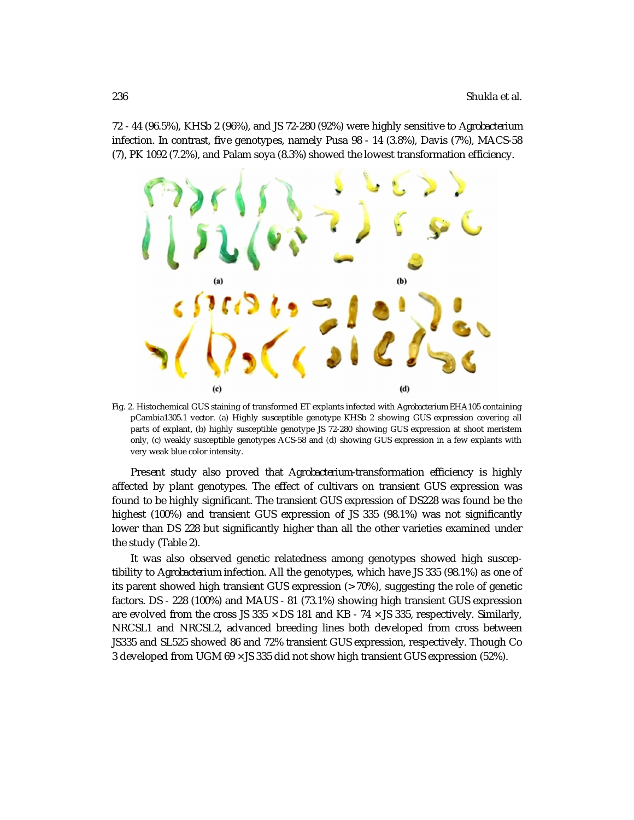72 - 44 (96.5%), KHSb 2 (96%), and JS 72-280 (92%) were highly sensitive to *Agrobacterium* infection. In contrast, five genotypes, namely Pusa 98 - 14 (3.8%), Davis (7%), MACS-58 (7), PK 1092 (7.2%), and Palam soya (8.3%) showed the lowest transformation efficiency.



Fig. 2. Histochemical GUS staining of transformed ET explants infected with *Agrobacterium* EHA105 containing pCambia1305.1 vector. (a) Highly susceptible genotype KHSb 2 showing GUS expression covering all parts of explant, (b) highly susceptible genotype JS 72-280 showing GUS expression at shoot meristem only, (c) weakly susceptible genotypes ACS-58 and (d) showing GUS expression in a few explants with very weak blue color intensity.

Present study also proved that *Agrobacterium*-transformation efficiency is highly affected by plant genotypes. The effect of cultivars on transient GUS expression was found to be highly significant. The transient GUS expression of DS228 was found be the highest (100%) and transient GUS expression of JS 335 (98.1%) was not significantly lower than DS 228 but significantly higher than all the other varieties examined under the study (Table 2).

It was also observed genetic relatedness among genotypes showed high susceptibility to *Agrobacterium* infection. All the genotypes, which have JS 335 (98.1%) as one of its parent showed high transient GUS expression (> 70%), suggesting the role of genetic factors. DS - 228 (100%) and MAUS - 81 (73.1%) showing high transient GUS expression are evolved from the cross JS 335  $\times$  DS 181 and KB - 74  $\times$  JS 335, respectively. Similarly, NRCSL1 and NRCSL2, advanced breeding lines both developed from cross between JS335 and SL525 showed 86 and 72% transient GUS expression, respectively. Though Co 3 developed from UGM 69 × JS 335 did not show high transient GUS expression (52%).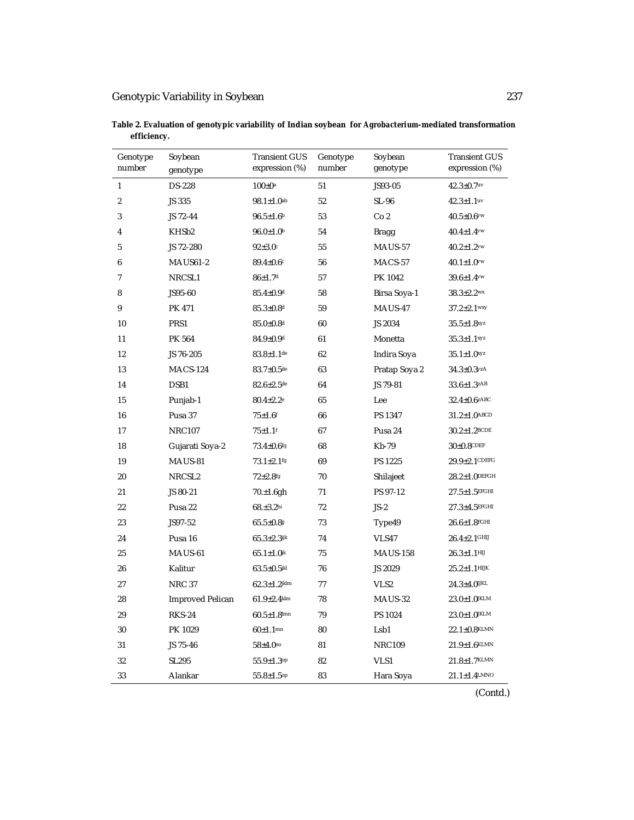| Genotype<br>number | Soybean<br>genotype     | <b>Transient GUS</b><br>expression (%) | Genotype<br>number | Soybean<br>genotype | <b>Transient GUS</b><br>expression (%) |
|--------------------|-------------------------|----------------------------------------|--------------------|---------------------|----------------------------------------|
| 1                  | <b>DS-228</b>           | $100 \pm 0^{\rm a}$                    | 51                 | JS93-05             | $42.3 \pm 0.7$ uv                      |
| $\overline{2}$     | JS 335                  | $98.1 \pm 1.0$ <sup>ab</sup>           | 52                 | SL-96               | $42.3 \pm 1.1$ uv                      |
| 3                  | JS 72-44                | $96.5 \pm 1.6$ b                       | 53                 | Co <sub>2</sub>     | $40.5 \pm 0.6$ $\vee\vee$              |
| 4                  | KHSb <sub>2</sub>       | $96.0 \pm 1.0$                         | 54                 | Bragg               | $40.4 \pm 1.4$ $\vee\vee$              |
| 5                  | JS 72-280               | $92 \pm 3.0$ c                         | 55                 | MAUS-57             | $40.2 \pm 1.2$                         |
| 6                  | <b>MAUS61-2</b>         | $89.4 \pm 0.6$                         | 56                 | MACS-57             | $40.1 \pm 1.0$                         |
| $\overline{7}$     | NRCSL1                  | $86 \pm 1.7$ d                         | 57                 | PK 1042             | $39.6 \pm 1.4$ $\vee\vee$              |
| 8                  | JS95-60                 | $85.4 \pm 0.9$ <sup>d</sup>            | 58                 | Birsa Soya-1        | $38.3 \pm 2.2$ <sup>wx</sup>           |
| 9                  | <b>PK 471</b>           | $85.3 \pm 0.8$ d                       | 59                 | MAUS-47             | $37.2 \pm 2.1$ wxy                     |
| 10                 | PRS1                    | $85.0 \pm 0.8$ <sup>d</sup>            | 60                 | JS 2034             | $35.5 \pm 1.8$ <sup>xyz</sup>          |
| 11                 | PK 564                  | $84.9 \pm 0.9$ <sup>d</sup>            | 61                 | Monetta             | $35.3 \pm 1.1$ <sup>xyz</sup>          |
| 12                 | JS 76-205               | $83.8 \pm 1.1$ de                      | 62                 | Indira Soya         | $35.1 \pm 1.0$ xyz                     |
| 13                 | <b>MACS-124</b>         | $83.7 \pm 0.5$ de                      | 63                 | Pratap Soya 2       | $34.3 \pm 0.3$ <sup>yzA</sup>          |
| 14                 | DSB1                    | $82.6 \pm 2.5$ de                      | 64                 | JS 79-81            | $33.6 \pm 1.3$ <sup>zAB</sup>          |
| 15                 | Punjab-1                | $80.4 \pm 2.2$ <sup>e</sup>            | 65                 | Lee                 | $32.4 \pm 0.6$ zABC                    |
| 16                 | Pusa 37                 | $75 + 1.6$ <sup>f</sup>                | 66                 | PS 1347             | $31.2 \pm 1.0$ ABCD                    |
| 17                 | <b>NRC107</b>           | $75 + 1.1$ <sup>f</sup>                | 67                 | Pusa 24             | $30.2 \pm 1.2$ BCDE                    |
| 18                 | Gujarati Soya-2         | $73.4 \pm 0.6$ fg                      | 68                 | Kb-79               | $30\pm0.8$ CDEF                        |
| 19                 | MAUS-81                 | $73.1 \pm 2.1$ <sup>fg</sup>           | 69                 | PS 1225             | $29.9 \pm 2.1$ CDEFG                   |
| 20                 | NRCSL <sub>2</sub>      | $72 + 2.8$ fg                          | 70                 | Shilajeet           | $28.2 \pm 1.0$ DEFGH                   |
| 21                 | JS 80-21                | 70.±1.6gh                              | 71                 | PS 97-12            | $27.5 \pm 1.5$ EFGHI                   |
| 22                 | Pusa 22                 | $68. \pm 3.2$ hi                       | 72                 | $JS-2$              | $27.3 \pm 4.5$ EFGHI                   |
| 23                 | JS97-52                 | $65.5 \pm 0.8$                         | 73                 | Type49              | $26.6 \pm 1.8$ FGHI                    |
| 24                 | Pusa 16                 | $65.3 \pm 2.3$ ijk                     | 74                 | VLS47               | $26.4 \pm 2.1$ GHIJ                    |
| 25                 | MAUS-61                 | $65.1 \pm 1.0$ <sup>jk</sup>           | 75                 | <b>MAUS-158</b>     | $26.3 \pm 1.1$ HIJ                     |
| 26                 | Kalitur                 | $63.5 \pm 0.5$ jkl                     | 76                 | JS 2029             | $25.2 \pm 1.1$ HIJK                    |
| 27                 | <b>NRC 37</b>           | $62.3 \pm 1.2$ jklm                    | 77                 | VLS <sub>2</sub>    | $24.3 \pm 4.0$ UKL                     |
| 28                 | <b>Improved Pelican</b> | $61.9 \pm 2.4$ klm                     | 78                 | MAUS-32             | $23.0 \pm 1.0$ JKLM                    |
| 29                 | <b>RKS-24</b>           | $60.5 \pm 1.8$ lmn                     | 79                 | PS 1024             | $23.0 \pm 1.0$ JKLM                    |
| 30                 | PK 1029                 | $60 \pm 1.1$ mn                        | 80                 | Lsb1                | $22.1 \pm 0.8$ KLMN                    |
| 31                 | JS 75-46                | $58 + 4.0^{no}$                        | 81                 | <b>NRC109</b>       | $21.9 \pm 1.6$ KLMN                    |
| 32                 | SL295                   | $55.9 \pm 1.3$ op                      | 82                 | VLS1                | $21.8 \pm 1.7$ KLMN                    |
| 33                 | Alankar                 | $55.8 \pm 1.5^{op}$                    | 83                 | Hara Soya           | $21.1 \pm 1.4$ LMNO                    |

**Table 2. Evaluation of genotypic variability of Indian soybean for** *Agrobacterium-***mediated transformation efficiency.**

(Contd.)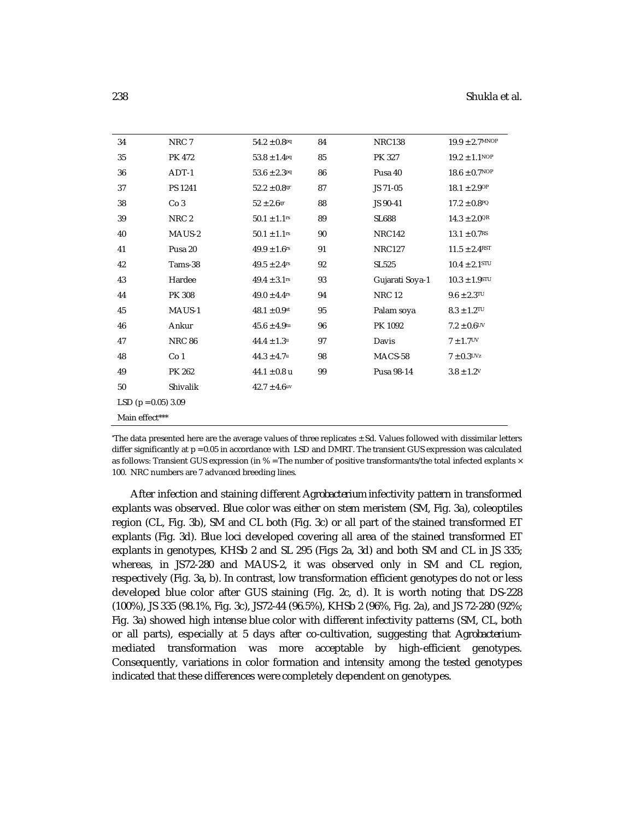| 34                      | NRC 7            | $54.2 \pm 0.8$ <sup>pq</sup> | 84 | <b>NRC138</b>   | $19.9 \pm 2.7$ MNOP           |  |
|-------------------------|------------------|------------------------------|----|-----------------|-------------------------------|--|
| 35                      | <b>PK 472</b>    | $53.8 \pm 1.4$ Pq            | 85 | PK 327          | $19.2 \pm 1.1$ <sup>NOP</sup> |  |
| 36                      | ADT-1            | $53.6 \pm 2.3$ <sup>pq</sup> | 86 | Pusa 40         | $18.6 \pm 0.7$ NOP            |  |
| 37                      | PS 1241          | $52.2 \pm 0.8$ qr            | 87 | JS 71-05        | $18.1 \pm 2.9$ OP             |  |
| 38                      | Co <sub>3</sub>  | $52 \pm 2.6$ qr              | 88 | JS 90-41        | $17.2 \pm 0.8$ PQ             |  |
| 39                      | NRC <sub>2</sub> | $50.1 \pm 1.1$ rs            | 89 | <b>SL688</b>    | $14.3 \pm 2.0$ <sup>QR</sup>  |  |
| 40                      | MAUS-2           | $50.1 \pm 1.1$ rs            | 90 | <b>NRC142</b>   | $13.1 \pm 0.7$ <sup>RS</sup>  |  |
| 41                      | Pusa 20          | $49.9 \pm 1.6$ <sup>rs</sup> | 91 | <b>NRC127</b>   | $11.5 \pm 2.4^{RST}$          |  |
| 42                      | Tams-38          | $49.5 \pm 2.4$ rs            | 92 | <b>SL525</b>    | $10.4 \pm 2.1$ STU            |  |
| 43                      | Hardee           | $49.4 \pm 3.1$ rs            | 93 | Gujarati Soya-1 | $10.3 \pm 1.9$ STU            |  |
| 44                      | PK 308           | $49.0 \pm 4.4$ rs            | 94 | <b>NRC 12</b>   | $9.6 \pm 2.3$ TU              |  |
| 45                      | MAUS-1           | $48.1 \pm 0.9$ st            | 95 | Palam soya      | $8.3 \pm 1.2$ <sup>TU</sup>   |  |
| 46                      | Ankur            | $45.6 \pm 4.9$ tu            | 96 | PK 1092         | $7.2 \pm 0.6$ UV              |  |
| 47                      | <b>NRC 86</b>    | $44.4 \pm 1.3$ u             | 97 | Davis           | $7 + 1.7$ <sup>UV</sup>       |  |
| 48                      | Co <sub>1</sub>  | $44.3 \pm 4.7$ u             | 98 | MACS-58         | $7 \pm 0.3$ <sup>UVz</sup>    |  |
| 49                      | PK 262           | $44.1 \pm 0.8$ u             | 99 | Pusa 98-14      | $3.8 \pm 1.2$ <sup>V</sup>    |  |
| 50                      | Shivalik         | $42.7 \pm 4.6$ uv            |    |                 |                               |  |
| LSD ( $p = 0.05$ ) 3.09 |                  |                              |    |                 |                               |  |
| Main effect***          |                  |                              |    |                 |                               |  |

 $*$ The data presented here are the average values of three replicates  $\pm$  Sd. Values followed with dissimilar letters differ significantly at p = 0.05 in accordance with LSD and DMRT. The transient GUS expression was calculated as follows: Transient GUS expression (in % = The number of positive transformants/the total infected explants × 100. NRC numbers are 7 advanced breeding lines.

After infection and staining different *Agrobacterium* infectivity pattern in transformed explants was observed. Blue color was either on stem meristem (SM, Fig. 3a), coleoptiles region (CL, Fig. 3b), SM and CL both (Fig. 3c) or all part of the stained transformed ET explants (Fig. 3d). Blue loci developed covering all area of the stained transformed ET explants in genotypes, KHSb 2 and SL 295 (Figs 2a, 3d) and both SM and CL in JS 335; whereas, in JS72-280 and MAUS-2, it was observed only in SM and CL region, respectively (Fig. 3a, b). In contrast, low transformation efficient genotypes do not or less developed blue color after GUS staining (Fig. 2c, d). It is worth noting that DS-228 (100%), JS 335 (98.1%, Fig. 3c), JS72-44 (96.5%), KHSb 2 (96%, Fig. 2a), and JS 72-280 (92%; Fig. 3a) showed high intense blue color with different infectivity patterns (SM, CL, both or all parts), especially at 5 days after co-cultivation, suggesting that *Agrobacterium*mediated transformation was more acceptable by high-efficient genotypes. Consequently, variations in color formation and intensity among the tested genotypes indicated that these differences were completely dependent on genotypes.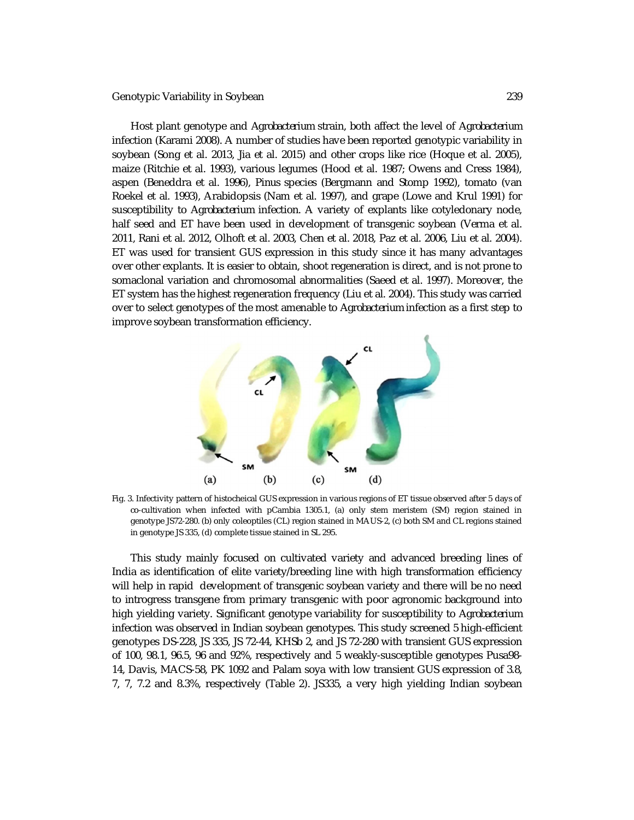#### Genotypic Variability in Soybean 239

Host plant genotype and *Agrobacterium* strain, both affect the level of *Agrobacterium* infection (Karami 2008). A number of studies have been reported genotypic variability in soybean (Song et al. 2013, Jia et al. 2015) and other crops like rice (Hoque et al. 2005), maize (Ritchie et al. 1993), various legumes (Hood et al. 1987; Owens and Cress 1984), aspen (Beneddra et al. 1996), *Pinus* species (Bergmann and Stomp 1992), tomato (van Roekel et al. 1993), Arabidopsis (Nam et al. 1997), and grape (Lowe and Krul 1991) for susceptibility to *Agrobacterium* infection. A variety of explants like cotyledonary node, half seed and ET have been used in development of transgenic soybean (Verma et al. 2011, Rani et al. 2012, Olhoft et al. 2003, Chen et al. 2018, Paz et al. 2006, Liu et al. 2004). ET was used for transient GUS expression in this study since it has many advantages over other explants. It is easier to obtain, shoot regeneration is direct, and is not prone to somaclonal variation and chromosomal abnormalities (Saeed et al. 1997). Moreover, the ET system has the highest regeneration frequency (Liu et al. 2004). This study was carried over to select genotypes of the most amenable to *Agrobacterium* infection as a first step to improve soybean transformation efficiency.



Fig. 3. Infectivity pattern of histocheical GUS expression in various regions of ET tissue observed after 5 days of co-cultivation when infected with pCambia 1305.1, (a) only stem meristem (SM) region stained in genotype JS72-280. (b) only coleoptiles (CL) region stained in MAUS-2, (c) both SM and CL regions stained in genotype JS 335, (d) complete tissue stained in SL 295.

This study mainly focused on cultivated variety and advanced breeding lines of India as identification of elite variety/breeding line with high transformation efficiency will help in rapid development of transgenic soybean variety and there will be no need to introgress transgene from primary transgenic with poor agronomic background into high yielding variety. Significant genotype variability for susceptibility to *Agrobacterium* infection was observed in Indian soybean genotypes. This study screened 5 high-efficient genotypes DS-228, JS 335, JS 72-44, KHSb 2, and JS 72-280 with transient GUS expression of 100, 98.1, 96.5, 96 and 92%, respectively and 5 weakly-susceptible genotypes Pusa98- 14, Davis, MACS-58, PK 1092 and Palam soya with low transient GUS expression of 3.8, 7, 7, 7.2 and 8.3%, respectively (Table 2). JS335, a very high yielding Indian soybean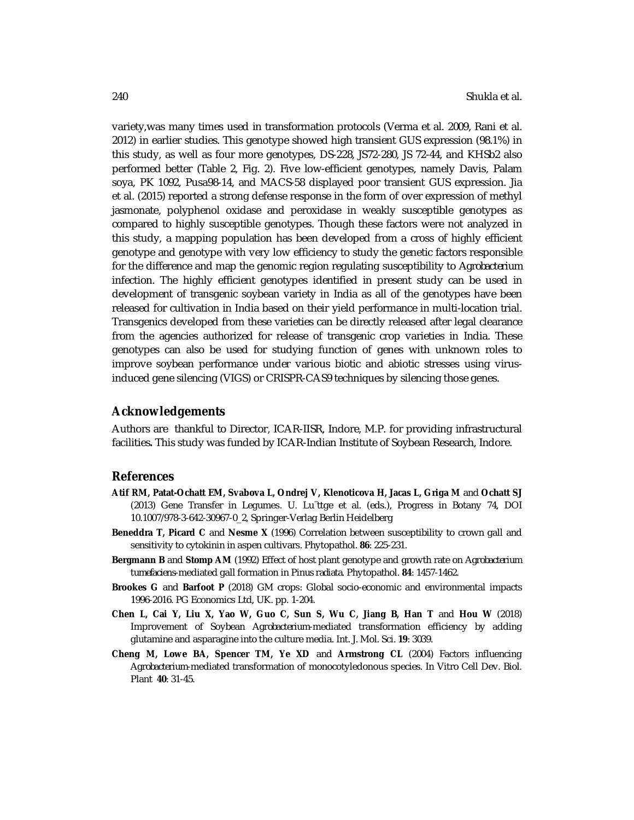variety,was many times used in transformation protocols (Verma et al. 2009, Rani et al. 2012) in earlier studies. This genotype showed high transient GUS expression (98.1%) in this study, as well as four more genotypes, DS-228, JS72-280, JS 72-44, and KHSb2 also performed better (Table 2, Fig. 2). Five low-efficient genotypes, namely Davis, Palam soya, PK 1092, Pusa98-14, and MACS-58 displayed poor transient GUS expression. Jia et al. (2015) reported a strong defense response in the form of over expression of methyl jasmonate, polyphenol oxidase and peroxidase in weakly susceptible genotypes as compared to highly susceptible genotypes. Though these factors were not analyzed in this study, a mapping population has been developed from a cross of highly efficient genotype and genotype with very low efficiency to study the genetic factors responsible for the difference and map the genomic region regulating susceptibility to *Agrobacterium* infection. The highly efficient genotypes identified in present study can be used in development of transgenic soybean variety in India as all of the genotypes have been released for cultivation in India based on their yield performance in multi-location trial. Transgenics developed from these varieties can be directly released after legal clearance from the agencies authorized for release of transgenic crop varieties in India. These genotypes can also be used for studying function of genes with unknown roles to improve soybean performance under various biotic and abiotic stresses using virusinduced gene silencing (VIGS) or CRISPR-CAS9 techniques by silencing those genes.

#### **Acknowledgements**

Authors are thankful to Director, ICAR-IISR, Indore, M.P. for providing infrastructural facilities**.** This study was funded by ICAR-Indian Institute of Soybean Research, Indore.

#### **References**

- **Atif RM, Patat-Ochatt EM, Svabova L, Ondrej V, Klenoticova H, Jacas L, Griga M** and **Ochatt SJ** (2013) Gene Transfer in Legumes. U. Lu¨ttge et al. (eds.), Progress in Botany 74, DOI 10.1007/978-3-642-30967-0\_2, Springer-Verlag Berlin Heidelberg
- **Beneddra T, Picard C** and **Nesme X** (1996) Correlation between susceptibility to crown gall and sensitivity to cytokinin in aspen cultivars. Phytopathol. **86**: 225-231.
- **Bergmann B** and **Stomp AM** (1992) Effect of host plant genotype and growth rate on *Agrobacterium tumefaciens*-mediated gall formation in *Pinus radiata*. Phytopathol. **84**: 1457-1462.
- **Brookes G** and **Barfoot P** (2018) GM crops: Global socio-economic and environmental impacts 1996-2016. PG Economics Ltd, UK. pp. 1-204.
- **Chen L, Cai Y, Liu X, Yao W, Guo C, Sun S, Wu C, Jiang B, Han T** and **Hou W** (2018) Improvement of Soybean *Agrobacterium*-mediated transformation efficiency by adding glutamine and asparagine into the culture media. Int. J. Mol. Sci. **19**: 3039.
- **Cheng M, Lowe BA, Spencer TM, Ye XD** and **Armstrong CL** (2004) Factors influencing *Agrobacterium*-mediated transformation of monocotyledonous species. In Vitro Cell Dev. Biol. Plant **40**: 31-45.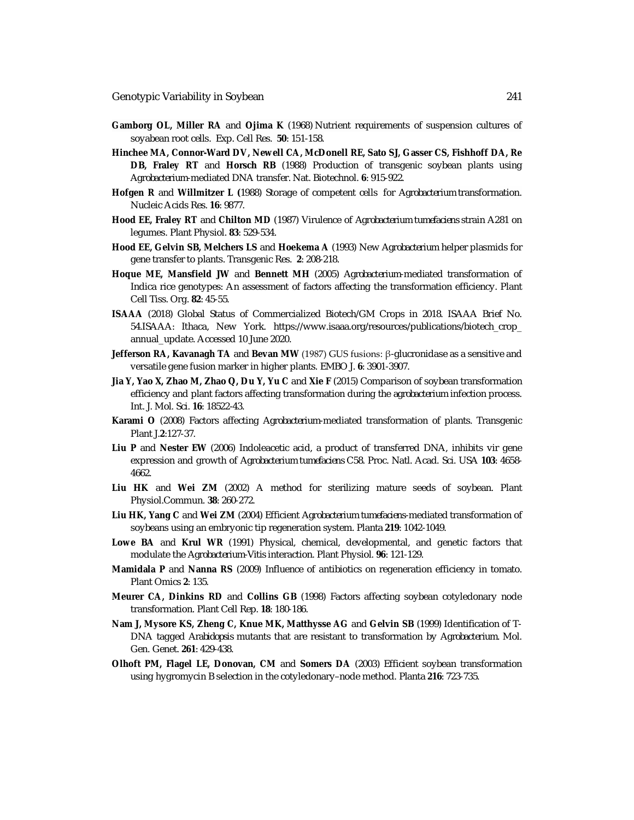- **Gamborg OL, Miller RA** and **Ojima K** (1968) Nutrient requirements of suspension cultures of soyabean root cells. Exp. Cell Res. **50**: 151-158.
- **Hinchee MA, Connor-Ward DV, Newell CA, McDonell RE, Sato SJ, Gasser CS, Fishhoff DA, Re DB, Fraley RT** and **Horsch RB** (1988) Production of transgenic soybean plants using *Agrobacterium*-mediated DNA transfer. Nat. Biotechnol. **6**: 915-922.
- **Hofgen R** and **Willmitzer L (**1988) Storage of competent cells for *Agrobacterium* transformation. Nucleic Acids Res. **16**: 9877.
- **Hood EE, Fraley RT** and **Chilton MD** (1987) Virulence of *Agrobacterium tumefaciens* strain A281 on legumes. Plant Physiol. **83**: 529-534.
- **Hood EE, Gelvin SB, Melchers LS** and **Hoekema A** (1993) New *Agrobacterium* helper plasmids for gene transfer to plants. Transgenic Res. **2**: 208-218.
- **Hoque ME, Mansfield JW** and **Bennett MH** (2005) *Agrobacterium*-mediated transformation of Indica rice genotypes: An assessment of factors affecting the transformation efficiency. Plant Cell Tiss. Org. **82**: 45-55.
- **ISAAA** (2018) Global Status of Commercialized Biotech/GM Crops in 2018. ISAAA Brief No. 54.ISAAA: Ithaca, New York. [https://www.isaaa.org/resources/publications/biotech\\_crop\\_](https://www.isaaa.org/resources/publications/biotech_crop_) annual\_update. Accessed 10 June 2020.
- **Jefferson RA, Kavanagh TA** and **Bevan MW** (1987) GUS fusions: β-glucronidase as a sensitive and versatile gene fusion marker in higher plants. EMBO J. **6**: 3901-3907.
- **Jia Y, Yao X, Zhao M, Zhao Q, Du Y, Yu C** and **Xie F** (2015) Comparison of soybean transformation efficiency and plant factors affecting transformation during the *agrobacterium* infection process. Int. J. Mol. Sci. **16**: 18522-43.
- **Karami O** (2008) Factors affecting *Agrobacterium*-mediated transformation of plants. Transgenic Plant J.**2**:127-37.
- **Liu P** and **Nester EW** (2006) Indoleacetic acid, a product of transferred DNA, inhibits vir gene expression and growth of *Agrobacterium tumefaciens* C58. Proc. Natl. Acad. Sci. USA **103**: 4658- 4662.
- **Liu HK** and **Wei ZM** (2002) A method for sterilizing mature seeds of soybean. Plant Physiol.Commun. **38**: 260-272.
- **Liu HK, Yang C** and **Wei ZM** (2004) Efficient *Agrobacterium tumefaciens*-mediated transformation of soybeans using an embryonic tip regeneration system. Planta **219**: 1042-1049.
- Lowe BA and Krul WR (1991) Physical, chemical, developmental, and genetic factors that modulate the *Agrobacterium-Vitis* interaction. Plant Physiol. **96**: 121-129.
- **Mamidala P** and **Nanna RS** (2009) Influence of antibiotics on regeneration efficiency in tomato. Plant Omics **2**: 135.
- **Meurer CA, Dinkins RD** and **Collins GB** (1998) Factors affecting soybean cotyledonary node transformation. Plant Cell Rep. **18**: 180-186.
- **Nam J, Mysore KS, Zheng C, Knue MK, Matthysse AG** and **Gelvin SB** (1999) Identification of T-DNA tagged *Arabidopsis* mutants that are resistant to transformation by *Agrobacterium.* Mol. Gen. Genet. **261**: 429-438.
- **Olhoft PM, Flagel LE, Donovan, CM** and **Somers DA** (2003) Efficient soybean transformation using hygromycin B selection in the cotyledonary–node method. Planta **216**: 723-735.